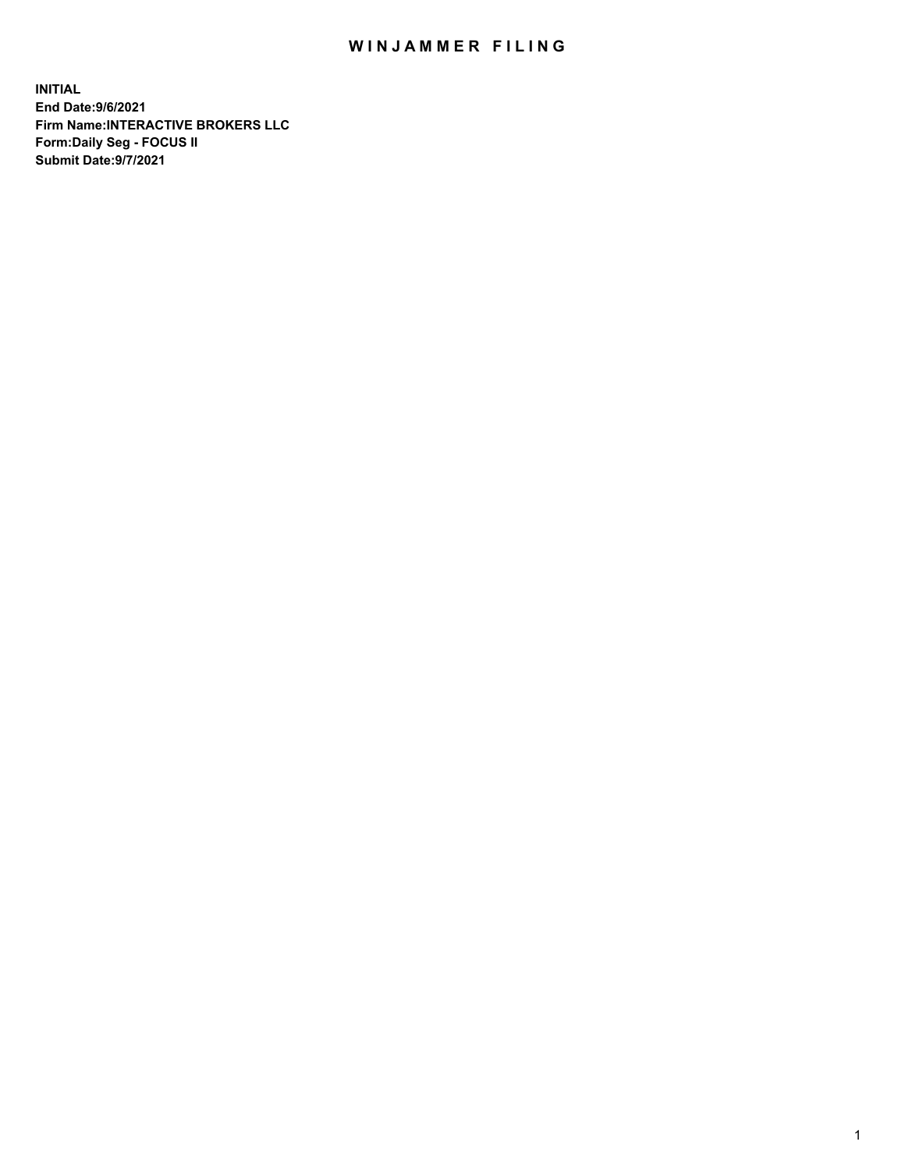## WIN JAMMER FILING

**INITIAL End Date:9/6/2021 Firm Name:INTERACTIVE BROKERS LLC Form:Daily Seg - FOCUS II Submit Date:9/7/2021**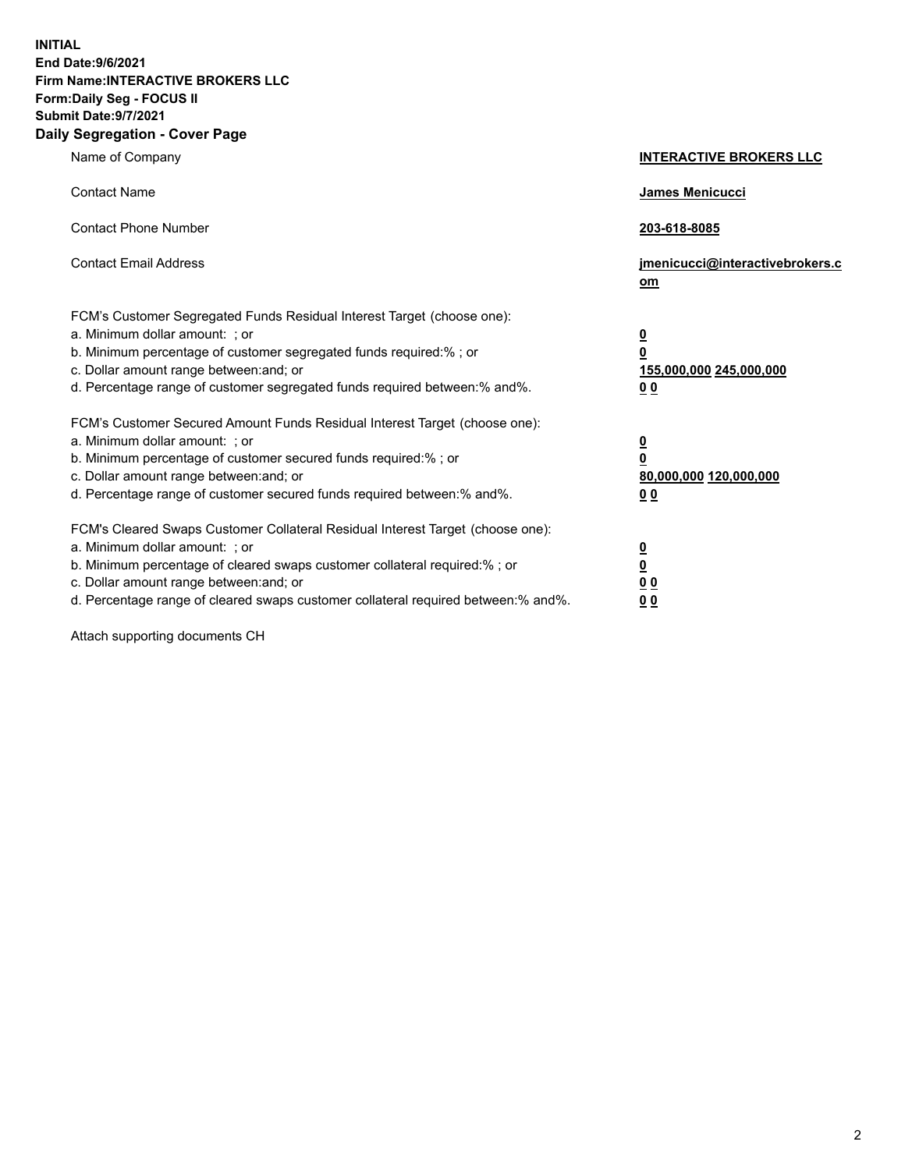**INITIAL End Date:9/6/2021 Firm Name:INTERACTIVE BROKERS LLC Form:Daily Seg - FOCUS II Submit Date:9/7/2021 Daily Segregation - Cover Page**

| Name of Company                                                                                                                                                                                                                                                                                                                | <b>INTERACTIVE BROKERS LLC</b>                                                                  |
|--------------------------------------------------------------------------------------------------------------------------------------------------------------------------------------------------------------------------------------------------------------------------------------------------------------------------------|-------------------------------------------------------------------------------------------------|
| <b>Contact Name</b>                                                                                                                                                                                                                                                                                                            | <b>James Menicucci</b>                                                                          |
| <b>Contact Phone Number</b>                                                                                                                                                                                                                                                                                                    | 203-618-8085                                                                                    |
| <b>Contact Email Address</b>                                                                                                                                                                                                                                                                                                   | jmenicucci@interactivebrokers.c<br>om                                                           |
| FCM's Customer Segregated Funds Residual Interest Target (choose one):<br>a. Minimum dollar amount: ; or<br>b. Minimum percentage of customer segregated funds required:% ; or<br>c. Dollar amount range between: and; or<br>d. Percentage range of customer segregated funds required between:% and%.                         | $\overline{\mathbf{0}}$<br>$\overline{\mathbf{0}}$<br>155,000,000 245,000,000<br>0 <sub>0</sub> |
| FCM's Customer Secured Amount Funds Residual Interest Target (choose one):<br>a. Minimum dollar amount: ; or<br>b. Minimum percentage of customer secured funds required:%; or<br>c. Dollar amount range between: and; or<br>d. Percentage range of customer secured funds required between:% and%.                            | $\overline{\mathbf{0}}$<br>$\mathbf 0$<br>80,000,000 120,000,000<br>0 <sub>0</sub>              |
| FCM's Cleared Swaps Customer Collateral Residual Interest Target (choose one):<br>a. Minimum dollar amount: ; or<br>b. Minimum percentage of cleared swaps customer collateral required:% ; or<br>c. Dollar amount range between: and; or<br>d. Percentage range of cleared swaps customer collateral required between:% and%. | $\overline{\mathbf{0}}$<br>$\underline{\mathbf{0}}$<br>0 <sub>0</sub><br>0 <sub>0</sub>         |

Attach supporting documents CH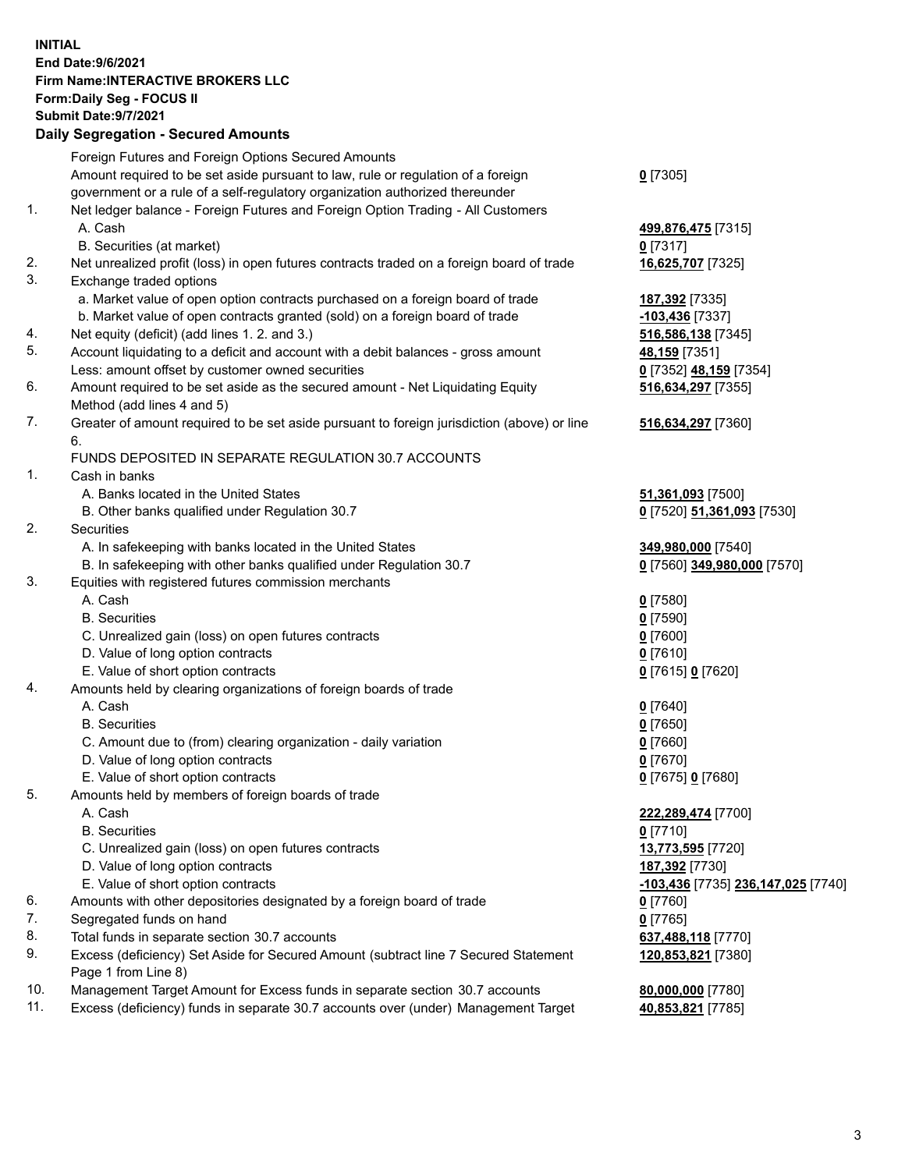## **INITIAL End Date:9/6/2021 Firm Name:INTERACTIVE BROKERS LLC Form:Daily Seg - FOCUS II Submit Date:9/7/2021 Daily Segregation - Secured Amounts**

|     | Dany Ocgregation - Oceanea Anioante                                                         |                                    |
|-----|---------------------------------------------------------------------------------------------|------------------------------------|
|     | Foreign Futures and Foreign Options Secured Amounts                                         |                                    |
|     | Amount required to be set aside pursuant to law, rule or regulation of a foreign            | $0$ [7305]                         |
|     | government or a rule of a self-regulatory organization authorized thereunder                |                                    |
| 1.  | Net ledger balance - Foreign Futures and Foreign Option Trading - All Customers             |                                    |
|     | A. Cash                                                                                     | 499,876,475 [7315]                 |
|     | B. Securities (at market)                                                                   | $0$ [7317]                         |
| 2.  | Net unrealized profit (loss) in open futures contracts traded on a foreign board of trade   | 16,625,707 [7325]                  |
| 3.  | Exchange traded options                                                                     |                                    |
|     | a. Market value of open option contracts purchased on a foreign board of trade              | 187,392 [7335]                     |
|     | b. Market value of open contracts granted (sold) on a foreign board of trade                | -103,436 [7337]                    |
| 4.  | Net equity (deficit) (add lines 1. 2. and 3.)                                               | 516,586,138 [7345]                 |
| 5.  | Account liquidating to a deficit and account with a debit balances - gross amount           | 48,159 [7351]                      |
|     | Less: amount offset by customer owned securities                                            | 0 [7352] 48,159 [7354]             |
| 6.  | Amount required to be set aside as the secured amount - Net Liquidating Equity              | 516,634,297 [7355]                 |
|     | Method (add lines 4 and 5)                                                                  |                                    |
| 7.  | Greater of amount required to be set aside pursuant to foreign jurisdiction (above) or line | 516,634,297 [7360]                 |
|     | 6.                                                                                          |                                    |
|     | FUNDS DEPOSITED IN SEPARATE REGULATION 30.7 ACCOUNTS                                        |                                    |
| 1.  | Cash in banks                                                                               |                                    |
|     | A. Banks located in the United States                                                       | 51,361,093 [7500]                  |
|     | B. Other banks qualified under Regulation 30.7                                              | 0 [7520] 51,361,093 [7530]         |
| 2.  | Securities                                                                                  |                                    |
|     | A. In safekeeping with banks located in the United States                                   | 349,980,000 [7540]                 |
|     | B. In safekeeping with other banks qualified under Regulation 30.7                          | 0 [7560] 349,980,000 [7570]        |
| 3.  | Equities with registered futures commission merchants                                       |                                    |
|     | A. Cash                                                                                     | $0$ [7580]                         |
|     | <b>B.</b> Securities                                                                        | $0$ [7590]                         |
|     | C. Unrealized gain (loss) on open futures contracts                                         | $0$ [7600]                         |
|     | D. Value of long option contracts                                                           | $0$ [7610]                         |
|     | E. Value of short option contracts                                                          | 0 [7615] 0 [7620]                  |
| 4.  | Amounts held by clearing organizations of foreign boards of trade                           |                                    |
|     | A. Cash                                                                                     | $0$ [7640]                         |
|     | <b>B.</b> Securities                                                                        | $0$ [7650]                         |
|     | C. Amount due to (from) clearing organization - daily variation                             | $0$ [7660]                         |
|     | D. Value of long option contracts                                                           | $0$ [7670]                         |
|     | E. Value of short option contracts                                                          | 0 [7675] 0 [7680]                  |
| 5.  | Amounts held by members of foreign boards of trade                                          |                                    |
|     | A. Cash                                                                                     | 222,289,474 [7700]                 |
|     | <b>B.</b> Securities                                                                        | $0$ [7710]                         |
|     | C. Unrealized gain (loss) on open futures contracts                                         | 13,773,595 [7720]                  |
|     | D. Value of long option contracts                                                           | 187,392 [7730]                     |
|     | E. Value of short option contracts                                                          | -103,436 [7735] 236,147,025 [7740] |
| 6.  | Amounts with other depositories designated by a foreign board of trade                      | $0$ [7760]                         |
| 7.  | Segregated funds on hand                                                                    | $0$ [7765]                         |
| 8.  | Total funds in separate section 30.7 accounts                                               | 637,488,118 [7770]                 |
| 9.  | Excess (deficiency) Set Aside for Secured Amount (subtract line 7 Secured Statement         | 120,853,821 [7380]                 |
|     | Page 1 from Line 8)                                                                         |                                    |
| 10. | Management Target Amount for Excess funds in separate section 30.7 accounts                 | 80,000,000 [7780]                  |
| 11. | Excess (deficiency) funds in separate 30.7 accounts over (under) Management Target          | 40,853,821 [7785]                  |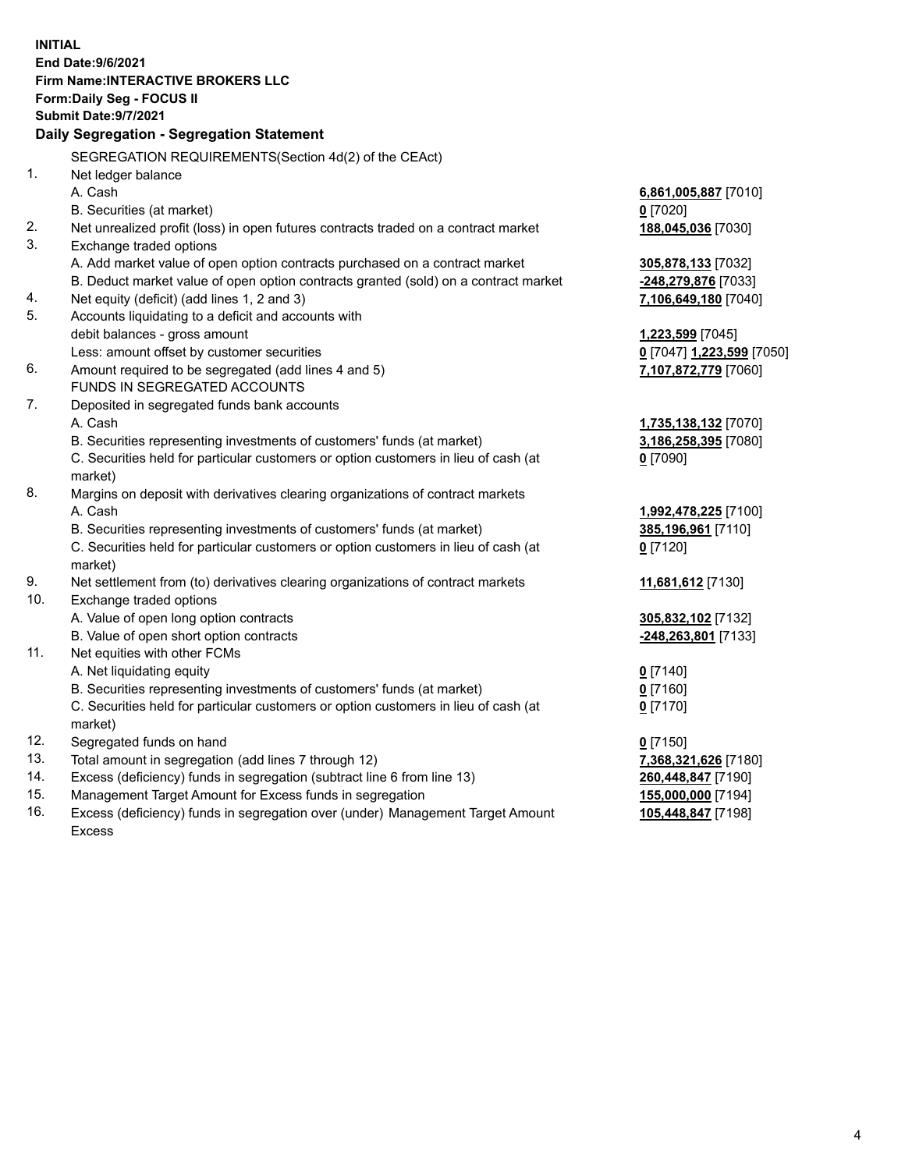**INITIAL End Date:9/6/2021 Firm Name:INTERACTIVE BROKERS LLC Form:Daily Seg - FOCUS II Submit Date:9/7/2021 Daily Segregation - Segregation Statement** SEGREGATION REQUIREMENTS(Section 4d(2) of the CEAct) 1. Net ledger balance A. Cash **6,861,005,887** [7010] B. Securities (at market) **0** [7020] 2. Net unrealized profit (loss) in open futures contracts traded on a contract market **188,045,036** [7030] 3. Exchange traded options A. Add market value of open option contracts purchased on a contract market **305,878,133** [7032] B. Deduct market value of open option contracts granted (sold) on a contract market **-248,279,876** [7033] 4. Net equity (deficit) (add lines 1, 2 and 3) **7,106,649,180** [7040] 5. Accounts liquidating to a deficit and accounts with debit balances - gross amount **1,223,599** [7045] Less: amount offset by customer securities **0** [7047] **1,223,599** [7050] 6. Amount required to be segregated (add lines 4 and 5) **7,107,872,779** [7060] FUNDS IN SEGREGATED ACCOUNTS 7. Deposited in segregated funds bank accounts A. Cash **1,735,138,132** [7070] B. Securities representing investments of customers' funds (at market) **3,186,258,395** [7080] C. Securities held for particular customers or option customers in lieu of cash (at market) **0** [7090] 8. Margins on deposit with derivatives clearing organizations of contract markets A. Cash **1,992,478,225** [7100] B. Securities representing investments of customers' funds (at market) **385,196,961** [7110] C. Securities held for particular customers or option customers in lieu of cash (at market) **0** [7120] 9. Net settlement from (to) derivatives clearing organizations of contract markets **11,681,612** [7130] 10. Exchange traded options A. Value of open long option contracts **305,832,102** [7132] B. Value of open short option contracts **-248,263,801** [7133] 11. Net equities with other FCMs A. Net liquidating equity **0** [7140] B. Securities representing investments of customers' funds (at market) **0** [7160] C. Securities held for particular customers or option customers in lieu of cash (at market) **0** [7170] 12. Segregated funds on hand **0** [7150] 13. Total amount in segregation (add lines 7 through 12) **7,368,321,626** [7180] 14. Excess (deficiency) funds in segregation (subtract line 6 from line 13) **260,448,847** [7190] 15. Management Target Amount for Excess funds in segregation **155,000,000** [7194] 16. Excess (deficiency) funds in segregation over (under) Management Target Amount Excess **105,448,847** [7198]